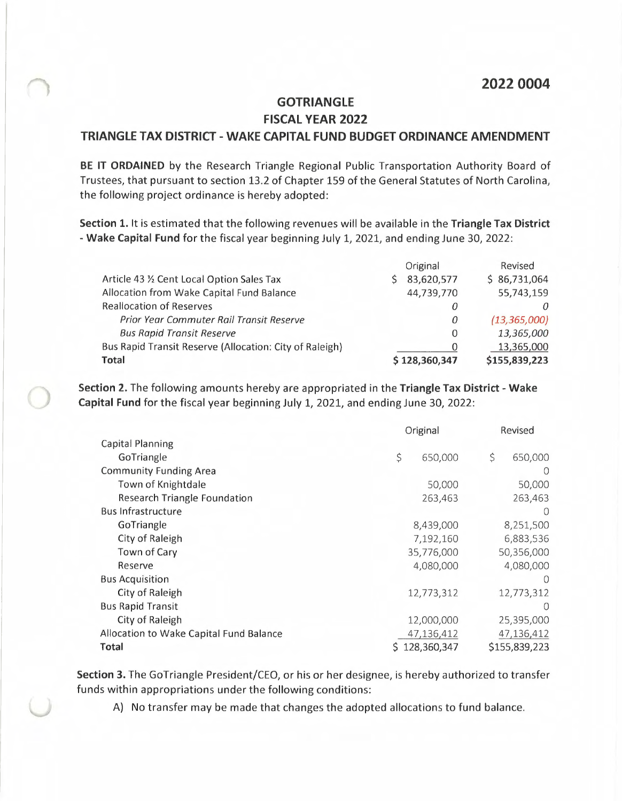## **2022 0004**

## **GOTRIANGLE FISCAL YEAR 2022 TRIANGLE TAX DISTRICT - WAKE CAPITAL FUND BUDGET ORDINANCE AMENDMENT**

**BE IT ORDAINED** by the Research Triangle Regional Public Transportation Authority Board of Trustees, that pursuant to section 13.2 of Chapter 159 of the General Statutes of North Carolina, the following project ordinance is hereby adopted:

**Section 1.** It is estimated that the following revenues will be available in the **Triangle Tax District - Wake Capital Fund** for the fiscal year beginning July 1, 2021, and ending June 30, 2022:

|                                                         | Original      | Revised        |
|---------------------------------------------------------|---------------|----------------|
| Article 43 1/2 Cent Local Option Sales Tax              | 83,620,577    | \$86,731,064   |
| Allocation from Wake Capital Fund Balance               | 44,739,770    | 55,743,159     |
| <b>Reallocation of Reserves</b>                         | 0             |                |
| <b>Prior Year Commuter Rail Transit Reserve</b>         | 0             | (13, 365, 000) |
| <b>Bus Rapid Transit Reserve</b>                        | 0             | 13,365,000     |
| Bus Rapid Transit Reserve (Allocation: City of Raleigh) | 0             | 13,365,000     |
| <b>Total</b>                                            | \$128,360,347 | \$155,839,223  |

**Section 2.** The following amounts hereby are appropriated in the **Triangle Tax District - Wake Capital Fund** for the fiscal year beginning July 1, 2021, and ending June 30, 2022:

|                                         | Original      | Revised       |  |
|-----------------------------------------|---------------|---------------|--|
| <b>Capital Planning</b>                 |               |               |  |
| GoTriangle                              | \$<br>650,000 | \$<br>650,000 |  |
| <b>Community Funding Area</b>           |               |               |  |
| Town of Knightdale                      | 50,000        | 50,000        |  |
| <b>Research Triangle Foundation</b>     | 263,463       | 263,463       |  |
| <b>Bus Infrastructure</b>               |               | $\bigcap$     |  |
| GoTriangle                              | 8,439,000     | 8,251,500     |  |
| City of Raleigh                         | 7,192,160     | 6,883,536     |  |
| Town of Cary                            | 35,776,000    | 50,356,000    |  |
| Reserve                                 | 4,080,000     | 4,080,000     |  |
| <b>Bus Acquisition</b>                  |               | $\bigcap$     |  |
| City of Raleigh                         | 12,773,312    | 12,773,312    |  |
| <b>Bus Rapid Transit</b>                |               | O             |  |
| City of Raleigh                         | 12,000,000    | 25,395,000    |  |
| Allocation to Wake Capital Fund Balance | 47,136,412    | 47,136,412    |  |
| <b>Total</b>                            | 128,360,347   | \$155,839,223 |  |

**Section 3.** The GoTriangle President/CEO, or his or her designee, is hereby authorized to transfer funds within appropriations under the following conditions:

A) No transfer may be made that changes the adopted allocations to fund balance.